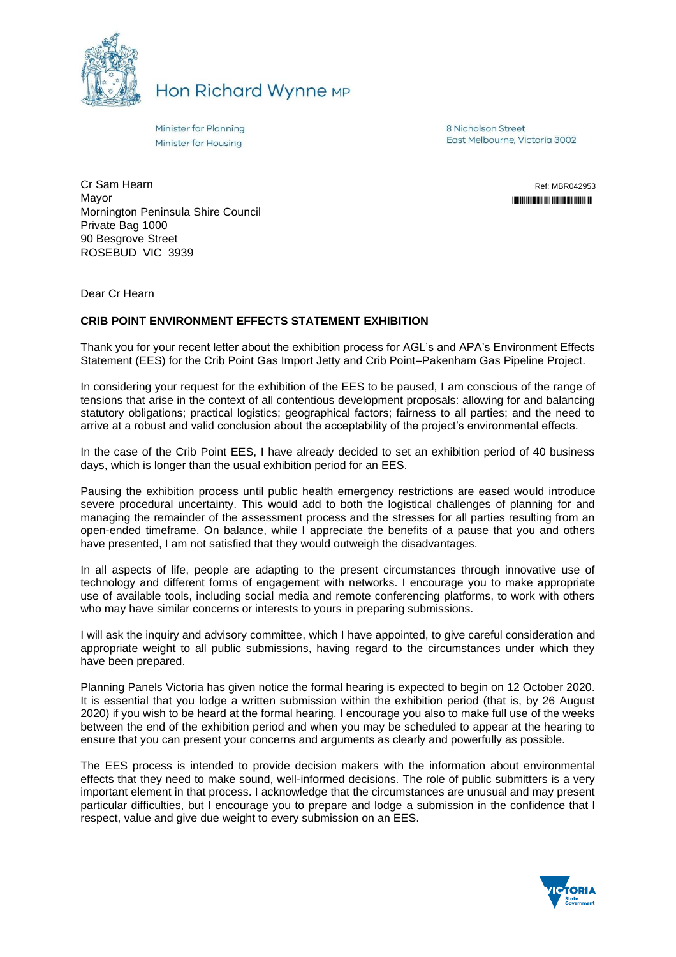

Hon Richard Wynne MP

Minister for Planning Minister for Housing

8 Nicholson Street East Melbourne, Victoria 3002

Cr Sam Hearn Mayor Mornington Peninsula Shire Council Private Bag 1000 90 Besgrove Street ROSEBUD VIC 3939

Ref: MBR042953 "\*MBR042953\*"

Dear Cr Hearn

## **CRIB POINT ENVIRONMENT EFFECTS STATEMENT EXHIBITION**

Thank you for your recent letter about the exhibition process for AGL's and APA's Environment Effects Statement (EES) for the Crib Point Gas Import Jetty and Crib Point–Pakenham Gas Pipeline Project.

In considering your request for the exhibition of the EES to be paused, I am conscious of the range of tensions that arise in the context of all contentious development proposals: allowing for and balancing statutory obligations; practical logistics; geographical factors; fairness to all parties; and the need to arrive at a robust and valid conclusion about the acceptability of the project's environmental effects.

In the case of the Crib Point EES, I have already decided to set an exhibition period of 40 business days, which is longer than the usual exhibition period for an EES.

Pausing the exhibition process until public health emergency restrictions are eased would introduce severe procedural uncertainty. This would add to both the logistical challenges of planning for and managing the remainder of the assessment process and the stresses for all parties resulting from an open-ended timeframe. On balance, while I appreciate the benefits of a pause that you and others have presented, I am not satisfied that they would outweigh the disadvantages.

In all aspects of life, people are adapting to the present circumstances through innovative use of technology and different forms of engagement with networks. I encourage you to make appropriate use of available tools, including social media and remote conferencing platforms, to work with others who may have similar concerns or interests to yours in preparing submissions.

I will ask the inquiry and advisory committee, which I have appointed, to give careful consideration and appropriate weight to all public submissions, having regard to the circumstances under which they have been prepared.

Planning Panels Victoria has given notice the formal hearing is expected to begin on 12 October 2020. It is essential that you lodge a written submission within the exhibition period (that is, by 26 August 2020) if you wish to be heard at the formal hearing. I encourage you also to make full use of the weeks between the end of the exhibition period and when you may be scheduled to appear at the hearing to ensure that you can present your concerns and arguments as clearly and powerfully as possible.

The EES process is intended to provide decision makers with the information about environmental effects that they need to make sound, well-informed decisions. The role of public submitters is a very important element in that process. I acknowledge that the circumstances are unusual and may present particular difficulties, but I encourage you to prepare and lodge a submission in the confidence that I respect, value and give due weight to every submission on an EES.